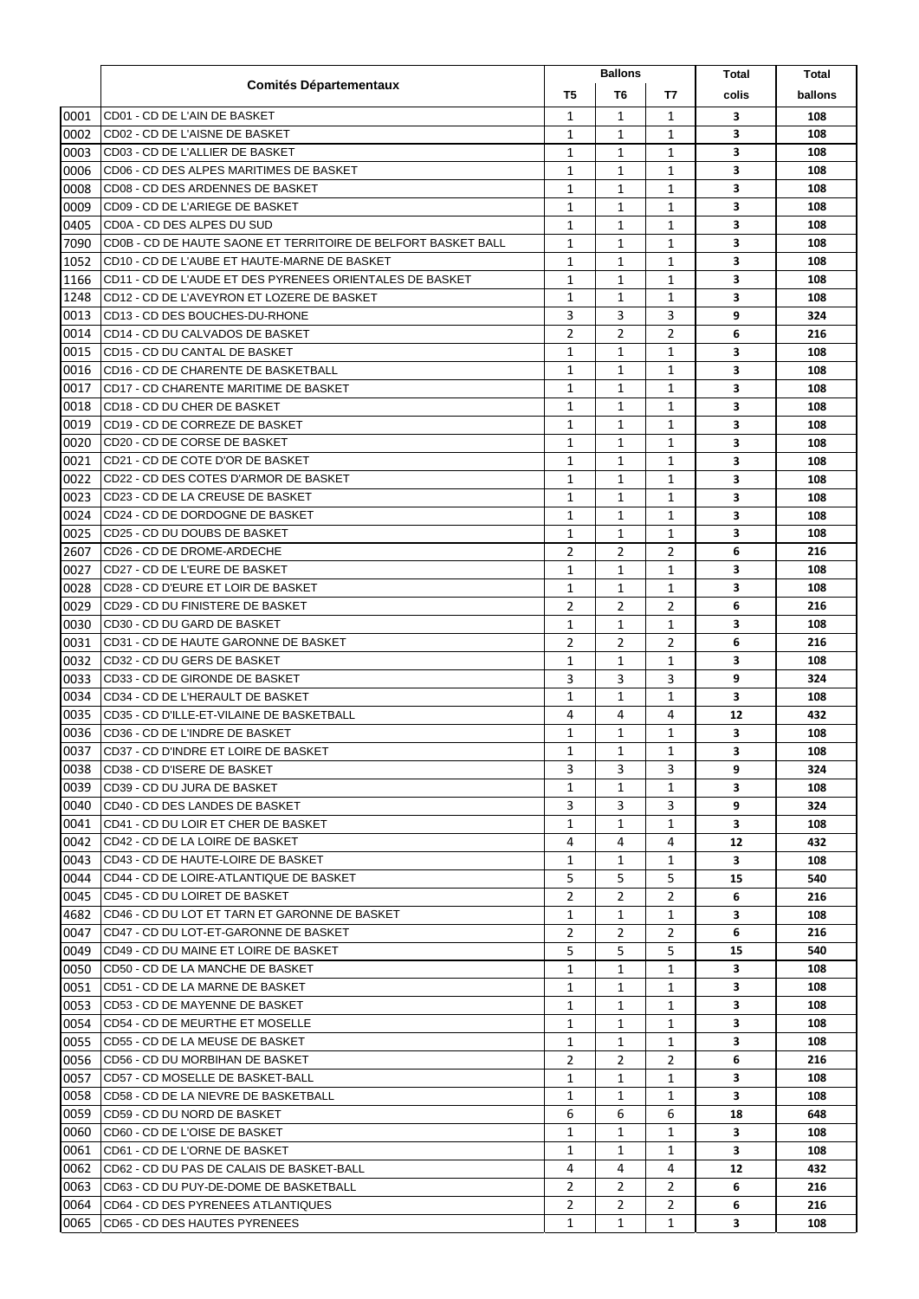|      |                                                               |              | <b>Ballons</b> |                | Total | Total   |
|------|---------------------------------------------------------------|--------------|----------------|----------------|-------|---------|
|      | <b>Comités Départementaux</b>                                 | T5           | T <sub>6</sub> | T7             | colis | ballons |
| 0001 | CD01 - CD DE L'AIN DE BASKET                                  | 1            | 1              | 1              | 3     | 108     |
| 0002 | CD02 - CD DE L'AISNE DE BASKET                                | 1            | 1              | $\mathbf{1}$   | 3     | 108     |
| 0003 | CD03 - CD DE L'ALLIER DE BASKET                               | 1            | 1              | $\mathbf{1}$   | 3     | 108     |
| 0006 | CD06 - CD DES ALPES MARITIMES DE BASKET                       | 1            | 1              | 1              | 3     | 108     |
| 0008 | CD08 - CD DES ARDENNES DE BASKET                              | 1            | 1              | 1              | 3     | 108     |
| 0009 | CD09 - CD DE L'ARIEGE DE BASKET                               | 1            | 1              | 1              | 3     | 108     |
| 0405 | CD0A - CD DES ALPES DU SUD                                    | 1            | 1              | 1              | з     | 108     |
| 7090 | CD0B - CD DE HAUTE SAONE ET TERRITOIRE DE BELFORT BASKET BALL | 1            | 1              | 1              | 3     | 108     |
| 1052 | CD10 - CD DE L'AUBE ET HAUTE-MARNE DE BASKET                  | 1            | 1              | 1              | 3     | 108     |
| 1166 | CD11 - CD DE L'AUDE ET DES PYRENEES ORIENTALES DE BASKET      | 1            | 1              | 1              | 3     | 108     |
| 1248 | CD12 - CD DE L'AVEYRON ET LOZERE DE BASKET                    | 1            | 1              | 1              | 3     | 108     |
| 0013 | CD13 - CD DES BOUCHES-DU-RHONE                                | 3            | 3              | 3              | 9     | 324     |
| 0014 | CD14 - CD DU CALVADOS DE BASKET                               | 2            | $\overline{2}$ | 2              | 6     | 216     |
| 0015 | CD15 - CD DU CANTAL DE BASKET                                 | 1            | 1              | 1              | 3     | 108     |
| 0016 | CD16 - CD DE CHARENTE DE BASKETBALL                           | 1            | 1              | 1              | 3     | 108     |
| 0017 | CD17 - CD CHARENTE MARITIME DE BASKET                         | 1            | $\mathbf{1}$   | 1              | 3     | 108     |
| 0018 | CD18 - CD DU CHER DE BASKET                                   | 1            | 1              | 1              | 3     | 108     |
| 0019 | CD19 - CD DE CORREZE DE BASKET                                | 1            | $\mathbf{1}$   | 1              | 3     | 108     |
| 0020 | CD20 - CD DE CORSE DE BASKET                                  | 1            | $\mathbf{1}$   | 1              | 3     | 108     |
| 0021 | CD21 - CD DE COTE D'OR DE BASKET                              | 1            | 1              | 1              | 3     | 108     |
| 0022 | ICD22 - CD DES COTES D'ARMOR DE BASKET                        | 1            | 1              | 1              | 3     | 108     |
| 0023 | CD23 - CD DE LA CREUSE DE BASKET                              | 1            | 1              | 1              | 3     | 108     |
| 0024 | CD24 - CD DE DORDOGNE DE BASKET                               | 1            | 1              | 1              | 3     | 108     |
| 0025 | CD25 - CD DU DOUBS DE BASKET                                  | 1            | 1              | 1              | 3     | 108     |
| 2607 | CD26 - CD DE DROME-ARDECHE                                    | 2            | $\overline{2}$ | $\overline{2}$ | 6     | 216     |
| 0027 | CD27 - CD DE L'EURE DE BASKET                                 | 1            | 1              | 1              | 3     | 108     |
| 0028 | CD28 - CD D'EURE ET LOIR DE BASKET                            | 1            | 1              | 1              | 3     | 108     |
| 0029 | CD29 - CD DU FINISTERE DE BASKET                              | 2            | $\overline{2}$ | 2              | 6     | 216     |
| 0030 | CD30 - CD DU GARD DE BASKET                                   | 1            | 1              | $\mathbf{1}$   | 3     | 108     |
| 0031 | CD31 - CD DE HAUTE GARONNE DE BASKET                          | 2            | 2              | 2              | 6     | 216     |
| 0032 | CD32 - CD DU GERS DE BASKET                                   | 1            | 1              | 1              | 3     | 108     |
| 0033 | CD33 - CD DE GIRONDE DE BASKET                                | 3            | 3              | 3              | 9     | 324     |
| 0034 | CD34 - CD DE L'HERAULT DE BASKET                              | 1            | 1              | 1              | 3     | 108     |
| 0035 | CD35 - CD D'ILLE-ET-VILAINE DE BASKETBALL                     | 4            | 4              | 4              | 12    | 432     |
| 0036 | CD36 - CD DE L'INDRE DE BASKET                                | 1            | 1              | 1              | 3     | 108     |
| 0037 | CD37 - CD D'INDRE ET LOIRE DE BASKET                          | $\mathbf{1}$ | $\mathbf{1}$   | $\mathbf{1}$   | 3     | 108     |
| 0038 | CD38 - CD D'ISERE DE BASKET                                   | 3            | 3              | 3              | 9     | 324     |
| 0039 | CD39 - CD DU JURA DE BASKET                                   | 1            | 1              | 1              | 3     | 108     |
| 0040 | CD40 - CD DES LANDES DE BASKET                                | 3            | 3              | 3              | 9     | 324     |
| 0041 | ICD41 - CD DU LOIR ET CHER DE BASKET                          | 1            | 1              | 1              | 3     | 108     |
| 0042 | CD42 - CD DE LA LOIRE DE BASKET                               | 4            | 4              | 4              | 12    | 432     |
| 0043 | ICD43 - CD DE HAUTE-LOIRE DE BASKET                           | 1            | 1              | 1              | 3     | 108     |
| 0044 | ICD44 - CD DE LOIRE-ATLANTIQUE DE BASKET                      | 5            | 5              | 5              | 15    | 540     |
| 0045 | ICD45 - CD DU LOIRET DE BASKET                                | 2            | $\overline{2}$ | $\overline{2}$ | 6     | 216     |
| 4682 | ICD46 - CD DU LOT ET TARN ET GARONNE DE BASKET                | 1            | 1              | 1              | 3     | 108     |
| 0047 | ICD47 - CD DU LOT-ET-GARONNE DE BASKET                        | 2            | 2              | $\overline{2}$ | 6     | 216     |
| 0049 | ICD49 - CD DU MAINE ET LOIRE DE BASKET                        | 5            | 5              | 5              | 15    | 540     |
| 0050 | ICD50 - CD DE LA MANCHE DE BASKET                             | 1            | 1              | $\mathbf{1}$   | 3     | 108     |
| 0051 | CD51 - CD DE LA MARNE DE BASKET                               | 1            | 1              | 1              | 3     | 108     |
| 0053 | ICD53 - CD DE MAYENNE DE BASKET                               | 1            | 1              | 1              | 3     | 108     |
| 0054 | CD54 - CD DE MEURTHE ET MOSELLE                               | 1            | 1              | 1              | 3     | 108     |
| 0055 | ICD55 - CD DE LA MEUSE DE BASKET                              | 1            | 1              | 1              | 3     | 108     |
| 0056 | CD56 - CD DU MORBIHAN DE BASKET                               | 2            | 2              | 2              | 6     | 216     |
| 0057 | CD57 - CD MOSELLE DE BASKET-BALL                              | 1            | 1              | 1              | 3     | 108     |
| 0058 | CD58 - CD DE LA NIEVRE DE BASKETBALL                          | 1            | 1              | 1              | 3     | 108     |
| 0059 | CD59 - CD DU NORD DE BASKET                                   | 6            | 6              | 6              | 18    | 648     |
| 0060 | CD60 - CD DE L'OISE DE BASKET                                 | 1            | 1              | 1              | 3     | 108     |
| 0061 | CD61 - CD DE L'ORNE DE BASKET                                 | 1            | 1              | 1              | 3     | 108     |
| 0062 | CD62 - CD DU PAS DE CALAIS DE BASKET-BALL                     | 4            | 4              | 4              | 12    | 432     |
| 0063 | ICD63 - CD DU PUY-DE-DOME DE BASKETBALL                       | 2            | 2              | 2              | 6     | 216     |
| 0064 | ICD64 - CD DES PYRENEES ATLANTIQUES                           | 2            | 2              | 2              | 6     | 216     |
| 0065 | CD65 - CD DES HAUTES PYRENEES                                 | 1            | 1              | $\mathbf{1}$   | 3     | 108     |